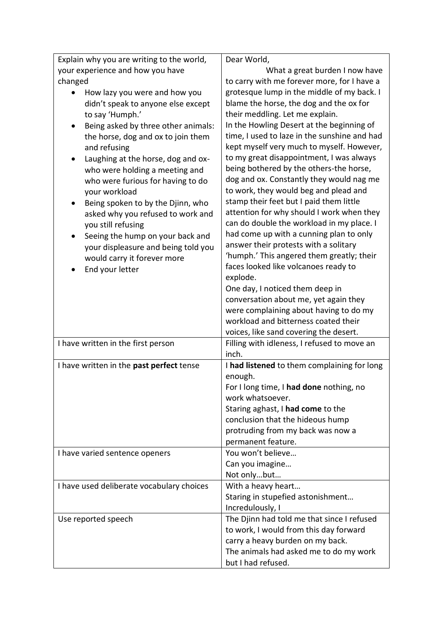| Explain why you are writing to the world,       | Dear World,                                            |
|-------------------------------------------------|--------------------------------------------------------|
| your experience and how you have                | What a great burden I now have                         |
| changed                                         | to carry with me forever more, for I have a            |
| How lazy you were and how you                   | grotesque lump in the middle of my back. I             |
| didn't speak to anyone else except              | blame the horse, the dog and the ox for                |
| to say 'Humph.'                                 | their meddling. Let me explain.                        |
| Being asked by three other animals:             | In the Howling Desert at the beginning of              |
| the horse, dog and ox to join them              | time, I used to laze in the sunshine and had           |
| and refusing                                    | kept myself very much to myself. However,              |
| Laughing at the horse, dog and ox-<br>$\bullet$ | to my great disappointment, I was always               |
| who were holding a meeting and                  | being bothered by the others-the horse,                |
| who were furious for having to do               | dog and ox. Constantly they would nag me               |
| your workload                                   | to work, they would beg and plead and                  |
| Being spoken to by the Djinn, who<br>$\bullet$  | stamp their feet but I paid them little                |
| asked why you refused to work and               | attention for why should I work when they              |
| you still refusing                              | can do double the workload in my place. I              |
| Seeing the hump on your back and                | had come up with a cunning plan to only                |
| your displeasure and being told you             | answer their protests with a solitary                  |
| would carry it forever more                     | 'humph.' This angered them greatly; their              |
| End your letter                                 | faces looked like volcanoes ready to                   |
|                                                 | explode.                                               |
|                                                 | One day, I noticed them deep in                        |
|                                                 | conversation about me, yet again they                  |
|                                                 | were complaining about having to do my                 |
|                                                 | workload and bitterness coated their                   |
|                                                 | voices, like sand covering the desert.                 |
| I have written in the first person              | Filling with idleness, I refused to move an            |
|                                                 | inch.                                                  |
| I have written in the past perfect tense        | I had listened to them complaining for long<br>enough. |
|                                                 | For I long time, I had done nothing, no                |
|                                                 | work whatsoever.                                       |
|                                                 | Staring aghast, I had come to the                      |
|                                                 | conclusion that the hideous hump                       |
|                                                 | protruding from my back was now a                      |
|                                                 | permanent feature.                                     |
| I have varied sentence openers                  | You won't believe                                      |
|                                                 | Can you imagine                                        |
|                                                 | Not onlybut                                            |
| I have used deliberate vocabulary choices       | With a heavy heart                                     |
|                                                 | Staring in stupefied astonishment                      |
|                                                 | Incredulously, I                                       |
| Use reported speech                             | The Djinn had told me that since I refused             |
|                                                 | to work, I would from this day forward                 |
|                                                 | carry a heavy burden on my back.                       |
|                                                 | The animals had asked me to do my work                 |
|                                                 | but I had refused.                                     |